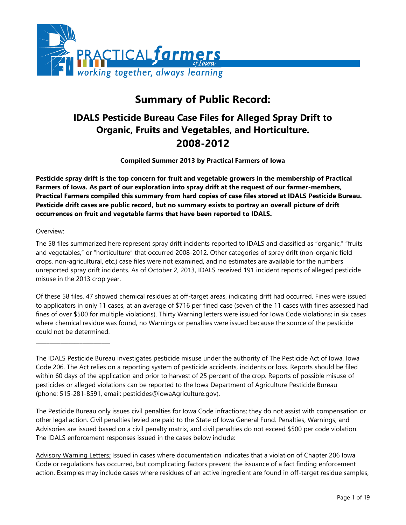

# **Summary of Public Record:**

# **IDALS Pesticide Bureau Case Files for Alleged Spray Drift to Organic, Fruits and Vegetables, and Horticulture. 2008-2012**

**Compiled Summer 2013 by Practical Farmers of Iowa**

**Pesticide spray drift is the top concern for fruit and vegetable growers in the membership of Practical Farmers of Iowa. As part of our exploration into spray drift at the request of our farmer-members, Practical Farmers compiled this summary from hard copies of case files stored at IDALS Pesticide Bureau. Pesticide drift cases are public record, but no summary exists to portray an overall picture of drift occurrences on fruit and vegetable farms that have been reported to IDALS.**

### Overview:

\_\_\_\_\_\_\_\_\_\_\_\_\_\_\_\_\_\_\_\_\_\_\_\_\_\_\_

The 58 files summarized here represent spray drift incidents reported to IDALS and classified as "organic," "fruits and vegetables," or "horticulture" that occurred 2008-2012. Other categories of spray drift (non-organic field crops, non-agricultural, etc.) case files were not examined, and no estimates are available for the numbers unreported spray drift incidents. As of October 2, 2013, IDALS received 191 incident reports of alleged pesticide misuse in the 2013 crop year.

Of these 58 files, 47 showed chemical residues at off-target areas, indicating drift had occurred. Fines were issued to applicators in only 11 cases, at an average of \$716 per fined case (seven of the 11 cases with fines assessed had fines of over \$500 for multiple violations). Thirty Warning letters were issued for Iowa Code violations; in six cases where chemical residue was found, no Warnings or penalties were issued because the source of the pesticide could not be determined.

The IDALS Pesticide Bureau investigates pesticide misuse under the authority of The Pesticide Act of Iowa, Iowa Code 206. The Act relies on a reporting system of pesticide accidents, incidents or loss. Reports should be filed within 60 days of the application and prior to harvest of 25 percent of the crop. Reports of possible misuse of pesticides or alleged violations can be reported to the Iowa Department of Agriculture Pesticide Bureau (phone: [515-281-8591,](tel:515-281-8591) email: [pesticides@iowaAgriculture.gov\)](mailto:pesticides@iowaAgriculture.gov).

The Pesticide Bureau only issues civil penalties for Iowa Code infractions; they do not assist with compensation or other legal action. Civil penalties levied are paid to the State of Iowa General Fund. Penalties, Warnings, and Advisories are issued based on a civil penalty matrix, and civil penalties do not exceed \$500 per code violation. The IDALS enforcement responses issued in the cases below include:

Advisory Warning Letters*:* Issued in cases where documentation indicates that a violation of Chapter 206 Iowa Code or regulations has occurred, but complicating factors prevent the issuance of a fact finding enforcement action. Examples may include cases where residues of an active ingredient are found in off-target residue samples,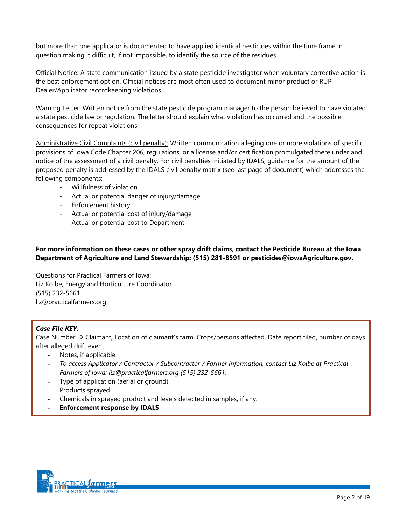but more than one applicator is documented to have applied identical pesticides within the time frame in question making it difficult, if not impossible, to identify the source of the residues.

Official Notice: A state communication issued by a state pesticide investigator when voluntary corrective action is the best enforcement option. Official notices are most often used to document minor product or RUP Dealer/Applicator recordkeeping violations.

Warning Letter: Written notice from the state pesticide program manager to the person believed to have violated a state pesticide law or regulation. The letter should explain what violation has occurred and the possible consequences for repeat violations.

Administrative Civil Complaints (civil penalty): Written communication alleging one or more violations of specific provisions of Iowa Code Chapter 206, regulations, or a license and/or certification promulgated there under and notice of the assessment of a civil penalty. For civil penalties initiated by IDALS, guidance for the amount of the proposed penalty is addressed by the IDALS civil penalty matrix (see last page of document) which addresses the following components:

- Willfulness of violation
- Actual or potential danger of injury/damage
- Enforcement history
- Actual or potential cost of injury/damage
- Actual or potential cost to Department

#### **For more information on these cases or other spray drift claims, contact the Pesticide Bureau at the Iowa Department of Agriculture and Land Stewardship: (515) 281-8591 or pesticides@iowaAgriculture.gov.**

Questions for Practical Farmers of Iowa: Liz Kolbe, Energy and Horticulture Coordinator (515) 232-5661 [liz@practicalfarmers.org](mailto:liz@practicalfarmers.org)

#### *Case File KEY:*

Case Number  $\rightarrow$  Claimant, Location of claimant's farm, Crops/persons affected, Date report filed, number of days after alleged drift event.

- Notes, if applicable
- *To access Applicator / Contractor / Subcontractor / Farmer information, contact Liz Kolbe at Practical Farmers of Iowa: liz@practicalfarmers.org (515) 232-5661.*
- Type of application (aerial or ground)
- Products sprayed
- Chemicals in sprayed product and levels detected in samples, if any.
- **Enforcement response by IDALS**

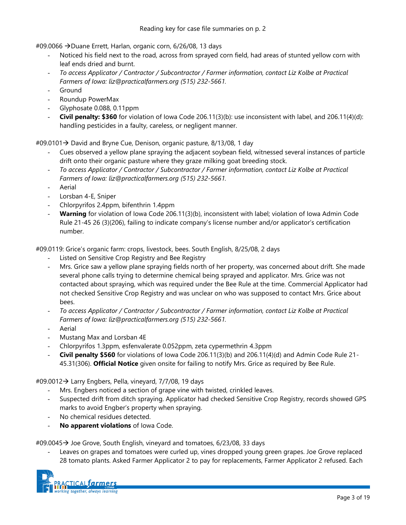#09.0066 > Duane Errett, Harlan, organic corn, 6/26/08, 13 days

- Noticed his field next to the road, across from sprayed corn field, had areas of stunted yellow corn with leaf ends dried and burnt.
- *To access Applicator / Contractor / Subcontractor / Farmer information, contact Liz Kolbe at Practical Farmers of Iowa: liz@practicalfarmers.org (515) 232-5661.*
- **Ground**
- Roundup PowerMax
- Glyphosate 0.088, 0.11ppm
- **Civil penalty: \$360** for violation of Iowa Code 206.11(3)(b): use inconsistent with label, and 206.11(4)(d): handling pesticides in a faulty, careless, or negligent manner.

 $\text{\#09.0101}\rightarrow \text{David}$  and Bryne Cue, Denison, organic pasture, 8/13/08, 1 day

- Cues observed a yellow plane spraying the adjacent soybean field, witnessed several instances of particle drift onto their organic pasture where they graze milking goat breeding stock.
- *To access Applicator / Contractor / Subcontractor / Farmer information, contact Liz Kolbe at Practical Farmers of Iowa: liz@practicalfarmers.org (515) 232-5661.*
- **Aerial**
- Lorsban 4-E, Sniper
- Chlorpyrifos 2.4ppm, bifenthrin 1.4ppm
- **Warning** for violation of Iowa Code 206.11(3)(b), inconsistent with label; violation of Iowa Admin Code Rule 21-45 26 (3)(206), failing to indicate company's license number and/or applicator's certification number.

#09.0119: Grice's organic farm: crops, livestock, bees. South English, 8/25/08, 2 days

- Listed on Sensitive Crop Registry and Bee Registry
- Mrs. Grice saw a yellow plane spraying fields north of her property, was concerned about drift. She made several phone calls trying to determine chemical being sprayed and applicator. Mrs. Grice was not contacted about spraying, which was required under the Bee Rule at the time. Commercial Applicator had not checked Sensitive Crop Registry and was unclear on who was supposed to contact Mrs. Grice about bees.
- *To access Applicator / Contractor / Subcontractor / Farmer information, contact Liz Kolbe at Practical Farmers of Iowa: liz@practicalfarmers.org (515) 232-5661.*
- **Aerial**
- Mustang Max and Lorsban 4E
- Chlorpyrifos 1.3ppm, esfenvalerate 0.052ppm, zeta cypermethrin 4.3ppm
- **Civil penalty \$560** for violations of Iowa Code 206.11(3)(b) and 206.11(4)(d) and Admin Code Rule 21- 45.31(306). **Official Notice** given onsite for failing to notify Mrs. Grice as required by Bee Rule.

#09.0012 $\rightarrow$  Larry Engbers, Pella, vineyard, 7/7/08, 19 days

- Mrs. Engbers noticed a section of grape vine with twisted, crinkled leaves.
- Suspected drift from ditch spraying. Applicator had checked Sensitive Crop Registry, records showed GPS marks to avoid Engber's property when spraying.
- No chemical residues detected.
- **No apparent violations** of Iowa Code.

#09.0045 Joe Grove, South English, vineyard and tomatoes, 6/23/08, 33 days

Leaves on grapes and tomatoes were curled up, vines dropped young green grapes. Joe Grove replaced 28 tomato plants. Asked Farmer Applicator 2 to pay for replacements, Farmer Applicator 2 refused. Each

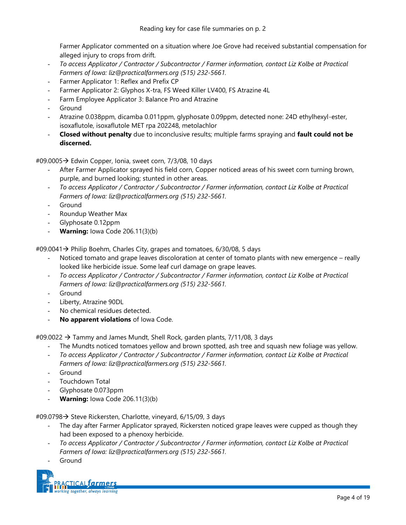Farmer Applicator commented on a situation where Joe Grove had received substantial compensation for alleged injury to crops from drift.

- *To access Applicator / Contractor / Subcontractor / Farmer information, contact Liz Kolbe at Practical Farmers of Iowa: liz@practicalfarmers.org (515) 232-5661.*
- Farmer Applicator 1: Reflex and Prefix CP
- Farmer Applicator 2: Glyphos X-tra, FS Weed Killer LV400, FS Atrazine 4L
- Farm Employee Applicator 3: Balance Pro and Atrazine
- **Ground**
- Atrazine 0.038ppm, dicamba 0.011ppm, glyphosate 0.09ppm, detected none: 24D ethylhexyl-ester, isoxaflutole, isoxaflutole MET rpa 202248, metolachlor
- **Closed without penalty** due to inconclusive results; multiple farms spraying and **fault could not be discerned.**

#09.0005→ Edwin Copper, Ionia, sweet corn, 7/3/08, 10 days

- After Farmer Applicator sprayed his field corn, Copper noticed areas of his sweet corn turning brown, purple, and burned looking; stunted in other areas.
- *To access Applicator / Contractor / Subcontractor / Farmer information, contact Liz Kolbe at Practical Farmers of Iowa: liz@practicalfarmers.org (515) 232-5661.*
- **Ground**
- Roundup Weather Max
- Glyphosate 0.12ppm
- **Warning:** Iowa Code 206.11(3)(b)

#09.0041 → Philip Boehm, Charles City, grapes and tomatoes, 6/30/08, 5 days

- Noticed tomato and grape leaves discoloration at center of tomato plants with new emergence really looked like herbicide issue. Some leaf curl damage on grape leaves.
- *To access Applicator / Contractor / Subcontractor / Farmer information, contact Liz Kolbe at Practical Farmers of Iowa: liz@practicalfarmers.org (515) 232-5661.*
- **Ground**
- Liberty, Atrazine 90DL
- No chemical residues detected.
- **No apparent violations** of Iowa Code.

 $\text{\#09.0022} \rightarrow \text{Tammy}$  and James Mundt, Shell Rock, garden plants, 7/11/08, 3 days

- The Mundts noticed tomatoes yellow and brown spotted, ash tree and squash new foliage was yellow.
- *To access Applicator / Contractor / Subcontractor / Farmer information, contact Liz Kolbe at Practical Farmers of Iowa: liz@practicalfarmers.org (515) 232-5661.*
- **Ground**
- Touchdown Total
- Glyphosate 0.073ppm
- **Warning:** Iowa Code 206.11(3)(b)

#09.0798 → Steve Rickersten, Charlotte, vineyard, 6/15/09, 3 days

- The day after Farmer Applicator sprayed, Rickersten noticed grape leaves were cupped as though they had been exposed to a phenoxy herbicide.
- *To access Applicator / Contractor / Subcontractor / Farmer information, contact Liz Kolbe at Practical Farmers of Iowa: liz@practicalfarmers.org (515) 232-5661.*
- **Ground**

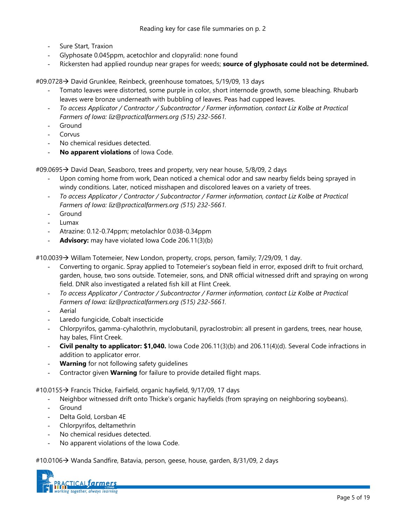- Sure Start, Traxion
- Glyphosate 0.045ppm, acetochlor and clopyralid: none found
- Rickersten had applied roundup near grapes for weeds; **source of glyphosate could not be determined.**

#09.0728 David Grunklee, Reinbeck, greenhouse tomatoes, 5/19/09, 13 days

- Tomato leaves were distorted, some purple in color, short internode growth, some bleaching. Rhubarb leaves were bronze underneath with bubbling of leaves. Peas had cupped leaves.
- *To access Applicator / Contractor / Subcontractor / Farmer information, contact Liz Kolbe at Practical Farmers of Iowa: liz@practicalfarmers.org (515) 232-5661.*
- Ground
- Corvus
- No chemical residues detected.
- **No apparent violations** of Iowa Code.

#09.0695→ David Dean, Seasboro, trees and property, very near house, 5/8/09, 2 days

- Upon coming home from work, Dean noticed a chemical odor and saw nearby fields being sprayed in windy conditions. Later, noticed misshapen and discolored leaves on a variety of trees.
- *To access Applicator / Contractor / Subcontractor / Farmer information, contact Liz Kolbe at Practical Farmers of Iowa: liz@practicalfarmers.org (515) 232-5661.*
- Ground
- Lumax
- Atrazine: 0.12-0.74ppm; metolachlor 0.038-0.34ppm
- Advisory: may have violated Iowa Code 206.11(3)(b)

#10.0039 > Willam Totemeier, New London, property, crops, person, family; 7/29/09, 1 day.

- Converting to organic. Spray applied to Totemeier's soybean field in error, exposed drift to fruit orchard, garden, house, two sons outside. Totemeier, sons, and DNR official witnessed drift and spraying on wrong field. DNR also investigated a related fish kill at Flint Creek.
- *To access Applicator / Contractor / Subcontractor / Farmer information, contact Liz Kolbe at Practical Farmers of Iowa: liz@practicalfarmers.org (515) 232-5661.*
- **Aerial**
- Laredo fungicide, Cobalt insecticide
- Chlorpyrifos, gamma-cyhalothrin, myclobutanil, pyraclostrobin: all present in gardens, trees, near house, hay bales, Flint Creek.
- **Civil penalty to applicator: \$1,040.** Iowa Code 206.11(3)(b) and 206.11(4)(d). Several Code infractions in addition to applicator error.
- **Warning** for not following safety quidelines
- Contractor given **Warning** for failure to provide detailed flight maps.

#10.0155  $\rightarrow$  Francis Thicke, Fairfield, organic hayfield, 9/17/09, 17 days

- Neighbor witnessed drift onto Thicke's organic hayfields (from spraying on neighboring soybeans).
- **Ground**
- Delta Gold, Lorsban 4E
- Chlorpyrifos, deltamethrin
- No chemical residues detected.
- No apparent violations of the Iowa Code.

#10.0106 > Wanda Sandfire, Batavia, person, geese, house, garden, 8/31/09, 2 days

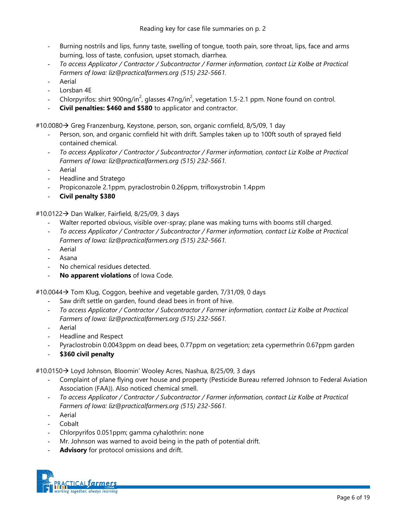- Burning nostrils and lips, funny taste, swelling of tongue, tooth pain, sore throat, lips, face and arms burning, loss of taste, confusion, upset stomach, diarrhea.
- *To access Applicator / Contractor / Subcontractor / Farmer information, contact Liz Kolbe at Practical Farmers of Iowa: liz@practicalfarmers.org (515) 232-5661.*
- **Aerial**
- Lorsban 4E
- Chlorpyrifos: shirt 900ng/in<sup>2</sup>, glasses 47ng/in<sup>2</sup>, vegetation 1.5-2.1 ppm. None found on control.
- **Civil penalties: \$460 and \$580** to applicator and contractor.

#10.0080  $\rightarrow$  Greg Franzenburg, Keystone, person, son, organic cornfield, 8/5/09, 1 day

- Person, son, and organic cornfield hit with drift. Samples taken up to 100ft south of sprayed field contained chemical.
- *To access Applicator / Contractor / Subcontractor / Farmer information, contact Liz Kolbe at Practical Farmers of Iowa: liz@practicalfarmers.org (515) 232-5661.*
- Aerial
- Headline and Stratego
- Propiconazole 2.1ppm, pyraclostrobin 0.26ppm, trifloxystrobin 1.4ppm
- **Civil penalty \$380**

#10.0122 Dan Walker, Fairfield, 8/25/09, 3 days

- Walter reported obvious, visible over-spray; plane was making turns with booms still charged.
- *To access Applicator / Contractor / Subcontractor / Farmer information, contact Liz Kolbe at Practical Farmers of Iowa: liz@practicalfarmers.org (515) 232-5661.*
- **Aerial**
- Asana
- No chemical residues detected.
- **No apparent violations** of Iowa Code.

 $#10.0044 \rightarrow$  Tom Klug, Coggon, beehive and vegetable garden, 7/31/09, 0 days

- Saw drift settle on garden, found dead bees in front of hive.
- *To access Applicator / Contractor / Subcontractor / Farmer information, contact Liz Kolbe at Practical Farmers of Iowa: liz@practicalfarmers.org (515) 232-5661.*
- **Aerial**
- Headline and Respect
- Pyraclostrobin 0.0043ppm on dead bees, 0.77ppm on vegetation; zeta cypermethrin 0.67ppm garden
- **\$360 civil penalty**

#10.0150  $\rightarrow$  Loyd Johnson, Bloomin' Wooley Acres, Nashua, 8/25/09, 3 days

- Complaint of plane flying over house and property (Pesticide Bureau referred Johnson to Federal Aviation Association (FAA)). Also noticed chemical smell.
- *To access Applicator / Contractor / Subcontractor / Farmer information, contact Liz Kolbe at Practical Farmers of Iowa: liz@practicalfarmers.org (515) 232-5661.*
- **Aerial**
- **Cobalt**
- Chlorpyrifos 0.051ppm; gamma cyhalothrin: none
- Mr. Johnson was warned to avoid being in the path of potential drift.
- Advisory for protocol omissions and drift.

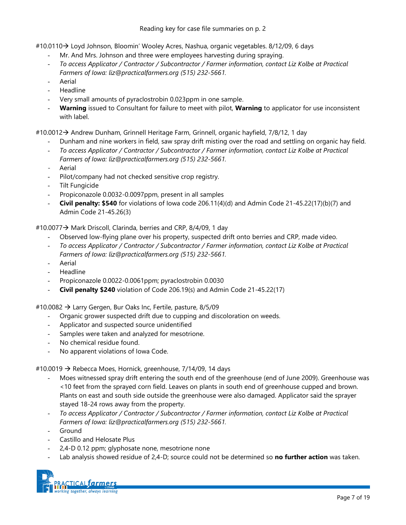# Reading key for case file summaries on p. 2

#10.0110 Loyd Johnson, Bloomin' Wooley Acres, Nashua, organic vegetables. 8/12/09, 6 days

- Mr. And Mrs. Johnson and three were employees harvesting during spraying.
- *To access Applicator / Contractor / Subcontractor / Farmer information, contact Liz Kolbe at Practical Farmers of Iowa: liz@practicalfarmers.org (515) 232-5661.*
- **Aerial**
- Headline
- Very small amounts of pyraclostrobin 0.023ppm in one sample.
- **Warning** issued to Consultant for failure to meet with pilot, **Warning** to applicator for use inconsistent with label.

#10.0012 Andrew Dunham, Grinnell Heritage Farm, Grinnell, organic hayfield, 7/8/12, 1 day

- Dunham and nine workers in field, saw spray drift misting over the road and settling on organic hay field.
- *To access Applicator / Contractor / Subcontractor / Farmer information, contact Liz Kolbe at Practical Farmers of Iowa: liz@practicalfarmers.org (515) 232-5661.*
- **Aerial**
- Pilot/company had not checked sensitive crop registry.
- Tilt Fungicide
- Propiconazole 0.0032-0.0097ppm, present in all samples
- **Civil penalty: \$540** for violations of Iowa code 206.11(4)(d) and Admin Code 21-45.22(17)(b)(7) and Admin Code 21-45.26(3)

#10.0077  $\rightarrow$  Mark Driscoll, Clarinda, berries and CRP, 8/4/09, 1 day

- Observed low-flying plane over his property, suspected drift onto berries and CRP, made video.
- *To access Applicator / Contractor / Subcontractor / Farmer information, contact Liz Kolbe at Practical Farmers of Iowa: liz@practicalfarmers.org (515) 232-5661.*
- **Aerial**
- Headline
- Propiconazole 0.0022-0.0061ppm; pyraclostrobin 0.0030
- **Civil penalty \$240** violation of Code 206.19(s) and Admin Code 21-45.22(17)

#10.0082 → Larry Gergen, Bur Oaks Inc, Fertile, pasture, 8/5/09

- Organic grower suspected drift due to cupping and discoloration on weeds.
- Applicator and suspected source unidentified
- Samples were taken and analyzed for mesotrione.
- No chemical residue found.
- No apparent violations of Iowa Code.

#10.0019  $\rightarrow$  Rebecca Moes, Hornick, greenhouse, 7/14/09, 14 days

- Moes witnessed spray drift entering the south end of the greenhouse (end of June 2009). Greenhouse was <10 feet from the sprayed corn field. Leaves on plants in south end of greenhouse cupped and brown. Plants on east and south side outside the greenhouse were also damaged. Applicator said the sprayer stayed 18-24 rows away from the property.
- *To access Applicator / Contractor / Subcontractor / Farmer information, contact Liz Kolbe at Practical Farmers of Iowa: liz@practicalfarmers.org (515) 232-5661.*
- **Ground**
- Castillo and Helosate Plus
- 2,4-D 0.12 ppm; glyphosate none, mesotrione none
- Lab analysis showed residue of 2,4-D; source could not be determined so **no further action** was taken.

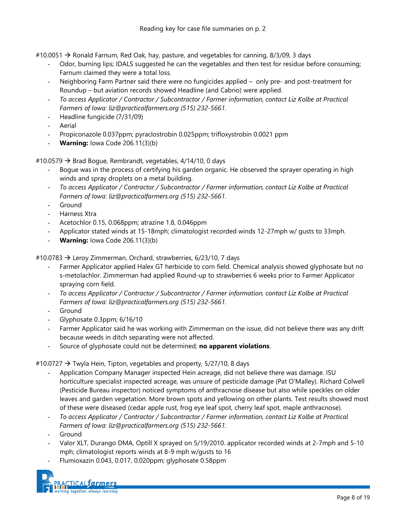#10.0051  $\rightarrow$  Ronald Farnum, Red Oak, hay, pasture, and vegetables for canning, 8/3/09, 3 days

- Odor, burning lips; IDALS suggested he can the vegetables and then test for residue before consuming; Farnum claimed they were a total loss.
- Neighboring Farm Partner said there were no fungicides applied only pre- and post-treatment for Roundup – but aviation records showed Headline (and Cabrio) were applied.
- *To access Applicator / Contractor / Subcontractor / Farmer information, contact Liz Kolbe at Practical Farmers of Iowa: liz@practicalfarmers.org (515) 232-5661.*
- Headline fungicide (7/31/09)
- **Aerial**
- Propiconazole 0.037ppm; pyraclostrobin 0.025ppm; trifloxystrobin 0.0021 ppm
- **Warning: Iowa Code 206.11(3)(b)**

#10.0579  $\rightarrow$  Brad Bogue, Rembrandt, vegetables, 4/14/10, 0 days

- Bogue was in the process of certifying his garden organic. He observed the sprayer operating in high winds and spray droplets on a metal building.
- *To access Applicator / Contractor / Subcontractor / Farmer information, contact Liz Kolbe at Practical Farmers of Iowa: liz@practicalfarmers.org (515) 232-5661.*
- **Ground**
- Harness Xtra
- Acetochlor 0.15, 0.068ppm; atrazine 1.8, 0.046ppm
- Applicator stated winds at 15-18mph; climatologist recorded winds 12-27mph w/ gusts to 33mph.
- **Warning:** Iowa Code 206.11(3)(b)

#10.0783 → Leroy Zimmerman, Orchard, strawberries, 6/23/10, 7 days

- Farmer Applicator applied Halex GT herbicide to corn field. Chemical analysis showed glyphosate but no s-metolachlor. Zimmerman had applied Round-up to strawberries 6 weeks prior to Farmer Applicator spraying corn field.
- *To access Applicator / Contractor / Subcontractor / Farmer information, contact Liz Kolbe at Practical Farmers of Iowa: liz@practicalfarmers.org (515) 232-5661.*
- Ground
- Glyphosate 0.3ppm; 6/16/10
- Farmer Applicator said he was working with Zimmerman on the issue, did not believe there was any drift because weeds in ditch separating were not affected.
- Source of glyphosate could not be determined; **no apparent violations**.

#### #10.0727  $\rightarrow$  Twyla Hein, Tipton, vegetables and property, 5/27/10, 8 days

- Application Company Manager inspected Hein acreage, did not believe there was damage. ISU horticulture specialist inspected acreage, was unsure of pesticide damage (Pat O'Malley). Richard Colwell (Pesticide Bureau inspector) noticed symptoms of anthracnose disease but also while speckles on older leaves and garden vegetation. More brown spots and yellowing on other plants. Test results showed most of these were diseased (cedar apple rust, frog eye leaf spot, cherry leaf spot, maple anthracnose).
- *To access Applicator / Contractor / Subcontractor / Farmer information, contact Liz Kolbe at Practical Farmers of Iowa: liz@practicalfarmers.org (515) 232-5661.*
- **Ground**
- Valor XLT, Durango DMA, Optill X sprayed on 5/19/2010. applicator recorded winds at 2-7mph and 5-10 mph; climatologist reports winds at 8-9 mph w/gusts to 16
- Flumioxazin 0.043, 0.017, 0.020ppm; glyphosate 0.58ppm

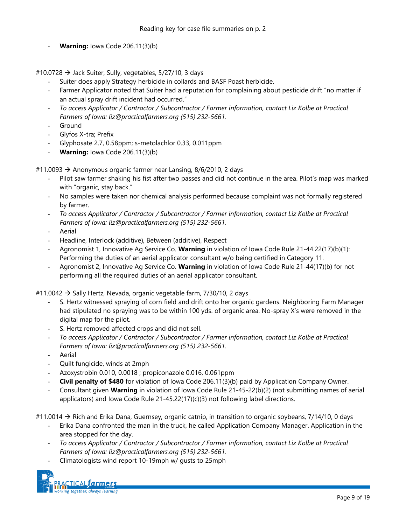**Warning:** Iowa Code 206.11(3)(b)

#10.0728  $\rightarrow$  Jack Suiter, Sully, vegetables, 5/27/10, 3 days

- Suiter does apply Strategy herbicide in collards and BASF Poast herbicide.
- Farmer Applicator noted that Suiter had a reputation for complaining about pesticide drift "no matter if an actual spray drift incident had occurred."
- *To access Applicator / Contractor / Subcontractor / Farmer information, contact Liz Kolbe at Practical Farmers of Iowa: liz@practicalfarmers.org (515) 232-5661.*
- Ground
- Glyfos X-tra; Prefix
- Glyphosate 2.7, 0.58ppm; s-metolachlor 0.33, 0.011ppm
- **Warning:** lowa Code 206.11(3)(b)

#11.0093  $\rightarrow$  Anonymous organic farmer near Lansing, 8/6/2010, 2 days

- Pilot saw farmer shaking his fist after two passes and did not continue in the area. Pilot's map was marked with "organic, stay back."
- No samples were taken nor chemical analysis performed because complaint was not formally registered by farmer.
- *To access Applicator / Contractor / Subcontractor / Farmer information, contact Liz Kolbe at Practical Farmers of Iowa: liz@practicalfarmers.org (515) 232-5661.*
- **Aerial**
- Headline, Interlock (additive), Between (additive), Respect
- Agronomist 1, Innovative Ag Service Co. **Warning** in violation of Iowa Code Rule 21-44.22(17)(b)(1): Performing the duties of an aerial applicator consultant w/o being certified in Category 11.
- Agronomist 2, Innovative Ag Service Co. **Warning** in violation of Iowa Code Rule 21-44(17)(b) for not performing all the required duties of an aerial applicator consultant.

#11.0042  $\rightarrow$  Sally Hertz, Nevada, organic vegetable farm, 7/30/10, 2 days

- S. Hertz witnessed spraying of corn field and drift onto her organic gardens. Neighboring Farm Manager had stipulated no spraying was to be within 100 yds. of organic area. No-spray X's were removed in the digital map for the pilot.
- S. Hertz removed affected crops and did not sell.
- *To access Applicator / Contractor / Subcontractor / Farmer information, contact Liz Kolbe at Practical Farmers of Iowa: liz@practicalfarmers.org (515) 232-5661.*
- Aerial
- Quilt fungicide, winds at 2mph
- Azoxystrobin 0.010, 0.0018 ; propiconazole 0.016, 0.061ppm
- **Civil penalty of \$480** for violation of Iowa Code 206.11(3)(b) paid by Application Company Owner.
- Consultant given **Warning** in violation of Iowa Code Rule 21-45-22(b)(2) (not submitting names of aerial applicators) and Iowa Code Rule  $21 - 45.22(17)(c)(3)$  not following label directions.
- #11.0014  $\rightarrow$  Rich and Erika Dana, Guernsey, organic catnip, in transition to organic soybeans, 7/14/10, 0 days
	- Erika Dana confronted the man in the truck, he called Application Company Manager. Application in the area stopped for the day.
	- *To access Applicator / Contractor / Subcontractor / Farmer information, contact Liz Kolbe at Practical Farmers of Iowa: liz@practicalfarmers.org (515) 232-5661.*
	- Climatologists wind report 10-19mph w/ gusts to 25mph

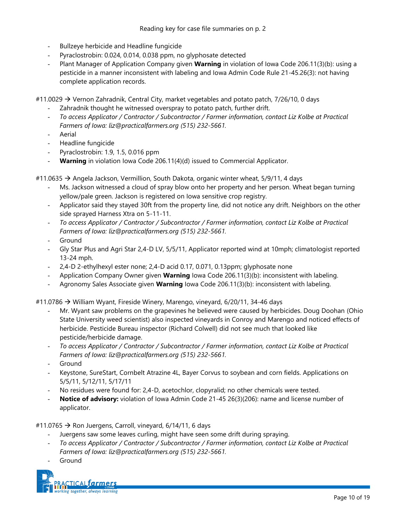- Bullzeye herbicide and Headline fungicide
- Pyraclostrobin: 0.024, 0.014, 0.038 ppm, no glyphosate detected
- Plant Manager of Application Company given **Warning** in violation of Iowa Code 206.11(3)(b): using a pesticide in a manner inconsistent with labeling and Iowa Admin Code Rule 21-45.26(3): not having complete application records.

#11.0029  $\rightarrow$  Vernon Zahradnik, Central City, market vegetables and potato patch, 7/26/10, 0 days

- Zahradnik thought he witnessed overspray to potato patch, further drift.
- *To access Applicator / Contractor / Subcontractor / Farmer information, contact Liz Kolbe at Practical Farmers of Iowa: liz@practicalfarmers.org (515) 232-5661.*
- **Aerial**
- Headline fungicide
- Pyraclostrobin: 1.9, 1.5, 0.016 ppm
- **Warning** in violation Iowa Code 206.11(4)(d) issued to Commercial Applicator.

#11.0635  $\rightarrow$  Angela Jackson, Vermillion, South Dakota, organic winter wheat, 5/9/11, 4 days

- Ms. Jackson witnessed a cloud of spray blow onto her property and her person. Wheat began turning yellow/pale green. Jackson is registered on Iowa sensitive crop registry.
- Applicator said they stayed 30ft from the property line, did not notice any drift. Neighbors on the other side sprayed Harness Xtra on 5-11-11.
- *To access Applicator / Contractor / Subcontractor / Farmer information, contact Liz Kolbe at Practical Farmers of Iowa: liz@practicalfarmers.org (515) 232-5661.*
- **Ground**
- Gly Star Plus and Agri Star 2,4-D LV, 5/5/11, Applicator reported wind at 10mph; climatologist reported 13-24 mph.
- 2,4-D 2-ethylhexyl ester none; 2,4-D acid 0.17, 0.071, 0.13ppm; glyphosate none
- Application Company Owner given **Warning** Iowa Code 206.11(3)(b): inconsistent with labeling.
- Agronomy Sales Associate given **Warning** Iowa Code 206.11(3)(b): inconsistent with labeling.

#11.0786 → William Wyant, Fireside Winery, Marengo, vineyard, 6/20/11, 34-46 days

- Mr. Wyant saw problems on the grapevines he believed were caused by herbicides. Doug Doohan (Ohio State University weed scientist) also inspected vineyards in Conroy and Marengo and noticed effects of herbicide. Pesticide Bureau inspector (Richard Colwell) did not see much that looked like pesticide/herbicide damage.
- *To access Applicator / Contractor / Subcontractor / Farmer information, contact Liz Kolbe at Practical Farmers of Iowa: liz@practicalfarmers.org (515) 232-5661.*
- **Ground**
- Keystone, SureStart, Cornbelt Atrazine 4L, Bayer Corvus to soybean and corn fields. Applications on 5/5/11, 5/12/11, 5/17/11
- No residues were found for: 2,4-D, acetochlor, clopyralid; no other chemicals were tested.
- **Notice of advisory:** violation of Iowa Admin Code 21-45 26(3)(206): name and license number of applicator.

#11.0765  $\rightarrow$  Ron Juergens, Carroll, vineyard, 6/14/11, 6 days

- Juergens saw some leaves curling, might have seen some drift during spraying.
- *To access Applicator / Contractor / Subcontractor / Farmer information, contact Liz Kolbe at Practical Farmers of Iowa: liz@practicalfarmers.org (515) 232-5661.*
- **Ground**

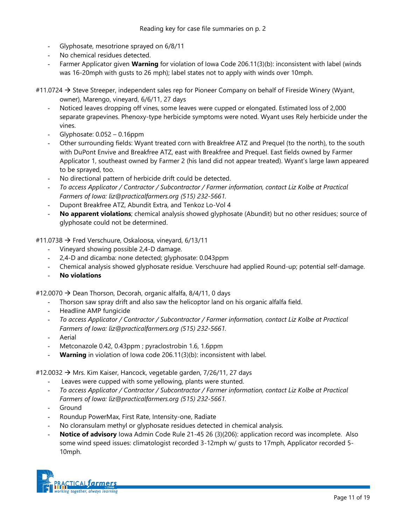- Glyphosate, mesotrione sprayed on 6/8/11
- No chemical residues detected.
- Farmer Applicator given **Warning** for violation of Iowa Code 206.11(3)(b): inconsistent with label (winds was 16-20mph with gusts to 26 mph); label states not to apply with winds over 10mph.

#11.0724  $\rightarrow$  Steve Streeper, independent sales rep for Pioneer Company on behalf of Fireside Winery (Wyant, owner), Marengo, vineyard, 6/6/11, 27 days

- Noticed leaves dropping off vines, some leaves were cupped or elongated. Estimated loss of 2,000 separate grapevines. Phenoxy-type herbicide symptoms were noted. Wyant uses Rely herbicide under the vines.
- Glyphosate: 0.052 0.16ppm
- Other surrounding fields: Wyant treated corn with Breakfree ATZ and Prequel (to the north), to the south with DuPont Envive and Breakfree ATZ, east with Breakfree and Prequel. East fields owned by Farmer Applicator 1, southeast owned by Farmer 2 (his land did not appear treated). Wyant's large lawn appeared to be sprayed, too.
- No directional pattern of herbicide drift could be detected.
- *To access Applicator / Contractor / Subcontractor / Farmer information, contact Liz Kolbe at Practical Farmers of Iowa: liz@practicalfarmers.org (515) 232-5661.*
- Dupont Breakfree ATZ, Abundit Extra, and Tenkoz Lo-Vol 4
- **No apparent violations**; chemical analysis showed glyphosate (Abundit) but no other residues; source of glyphosate could not be determined.

#11.0738  $\rightarrow$  Fred Verschuure, Oskaloosa, vineyard, 6/13/11

- Vineyard showing possible 2,4-D damage.
- 2,4-D and dicamba: none detected; glyphosate: 0.043ppm
- Chemical analysis showed glyphosate residue. Verschuure had applied Round-up; potential self-damage.
- **No violations**

#12.0070  $\rightarrow$  Dean Thorson, Decorah, organic alfalfa, 8/4/11, 0 days

- Thorson saw spray drift and also saw the helicoptor land on his organic alfalfa field.
- Headline AMP fungicide
- *To access Applicator / Contractor / Subcontractor / Farmer information, contact Liz Kolbe at Practical Farmers of Iowa: liz@practicalfarmers.org (515) 232-5661.*
- Aerial
- Metconazole 0.42, 0.43ppm; pyraclostrobin 1.6, 1.6ppm
- **Warning** in violation of Iowa code 206.11(3)(b): inconsistent with label.

#12.0032  $\rightarrow$  Mrs. Kim Kaiser, Hancock, vegetable garden, 7/26/11, 27 days

- Leaves were cupped with some yellowing, plants were stunted.
- *To access Applicator / Contractor / Subcontractor / Farmer information, contact Liz Kolbe at Practical Farmers of Iowa: liz@practicalfarmers.org (515) 232-5661.*
- **Ground**
- Roundup PowerMax, First Rate, Intensity-one, Radiate
- No cloransulam methyl or glyphosate residues detected in chemical analysis.
- Notice of advisory Iowa Admin Code Rule 21-45 26 (3)(206): application record was incomplete. Also some wind speed issues: climatologist recorded 3-12mph w/ gusts to 17mph, Applicator recorded 5- 10mph.

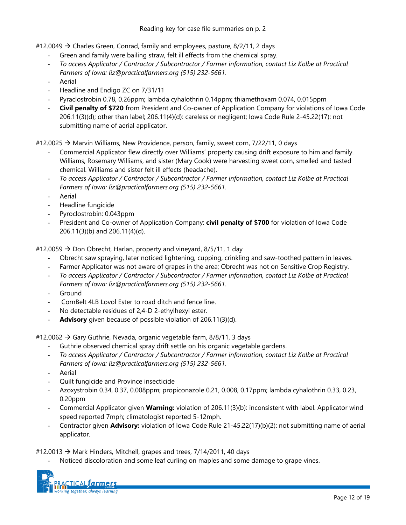#12.0049  $\rightarrow$  Charles Green, Conrad, family and employees, pasture, 8/2/11, 2 days

- Green and family were bailing straw, felt ill effects from the chemical spray.
- *To access Applicator / Contractor / Subcontractor / Farmer information, contact Liz Kolbe at Practical Farmers of Iowa: liz@practicalfarmers.org (515) 232-5661.*
- **Aerial**
- Headline and Endigo ZC on 7/31/11
- Pyraclostrobin 0.78, 0.26ppm; lambda cyhalothrin 0.14ppm; thiamethoxam 0.074, 0.015ppm
- **Civil penalty of \$720** from President and Co-owner of Application Company for violations of Iowa Code 206.11(3)(d); other than label; 206.11(4)(d): careless or negligent; Iowa Code Rule 2-45.22(17): not submitting name of aerial applicator.

#12.0025  $\rightarrow$  Marvin Williams, New Providence, person, family, sweet corn, 7/22/11, 0 days

- Commercial Applicator flew directly over Williams' property causing drift exposure to him and family. Williams, Rosemary Williams, and sister (Mary Cook) were harvesting sweet corn, smelled and tasted chemical. Williams and sister felt ill effects (headache).
- *To access Applicator / Contractor / Subcontractor / Farmer information, contact Liz Kolbe at Practical Farmers of Iowa: liz@practicalfarmers.org (515) 232-5661.*
- **Aerial**
- Headline fungicide
- Pyroclostrobin: 0.043ppm
- President and Co-owner of Application Company: **civil penalty of \$700** for violation of Iowa Code 206.11(3)(b) and 206.11(4)(d).

#12.0059  $\rightarrow$  Don Obrecht, Harlan, property and vineyard, 8/5/11, 1 day

- Obrecht saw spraying, later noticed lightening, cupping, crinkling and saw-toothed pattern in leaves.
- Farmer Applicator was not aware of grapes in the area; Obrecht was not on Sensitive Crop Registry.
- *To access Applicator / Contractor / Subcontractor / Farmer information, contact Liz Kolbe at Practical Farmers of Iowa: liz@practicalfarmers.org (515) 232-5661.*
- Ground
- CornBelt 4LB Lovol Ester to road ditch and fence line.
- No detectable residues of 2,4-D 2-ethylhexyl ester.
- Advisory given because of possible violation of 206.11(3)(d).

#12.0062  $\rightarrow$  Gary Guthrie, Nevada, organic vegetable farm, 8/8/11, 3 days

- Guthrie observed chemical spray drift settle on his organic vegetable gardens.
- *To access Applicator / Contractor / Subcontractor / Farmer information, contact Liz Kolbe at Practical Farmers of Iowa: liz@practicalfarmers.org (515) 232-5661.*
- **Aerial**
- Quilt fungicide and Province insecticide
- Azoxystrobin 0.34, 0.37, 0.008ppm; propiconazole 0.21, 0.008, 0.17ppm; lambda cyhalothrin 0.33, 0.23,  $0.20$ ppm
- Commercial Applicator given **Warning:** violation of 206.11(3)(b): inconsistent with label. Applicator wind speed reported 7mph; climatologist reported 5-12mph.
- Contractor given **Advisory:** violation of Iowa Code Rule 21-45.22(17)(b)(2): not submitting name of aerial applicator.

#12.0013  $\rightarrow$  Mark Hinders, Mitchell, grapes and trees, 7/14/2011, 40 days

Noticed discoloration and some leaf curling on maples and some damage to grape vines.

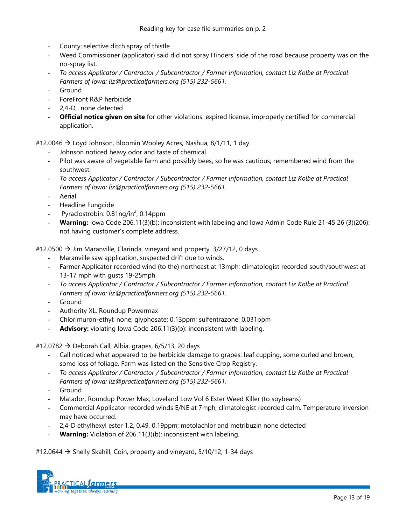- County: selective ditch spray of thistle
- Weed Commissioner (applicator) said did not spray Hinders' side of the road because property was on the no-spray list.
- *To access Applicator / Contractor / Subcontractor / Farmer information, contact Liz Kolbe at Practical Farmers of Iowa: liz@practicalfarmers.org (515) 232-5661.*
- Ground
- ForeFront R&P herbicide
- 2.4-D, none detected
- **Official notice given on site** for other violations: expired license, improperly certified for commercial application.

#12.0046  $\rightarrow$  Loyd Johnson, Bloomin Wooley Acres, Nashua, 8/1/11, 1 day

- Johnson noticed heavy odor and taste of chemical.
- Pilot was aware of vegetable farm and possibly bees, so he was cautious; remembered wind from the southwest.
- *To access Applicator / Contractor / Subcontractor / Farmer information, contact Liz Kolbe at Practical Farmers of Iowa: liz@practicalfarmers.org (515) 232-5661.*
- **Aerial**
- Headline Fungcide
- Pyraclostrobin: 0.81ng/in<sup>2</sup>, 0.14ppm
- **Warning:** Iowa Code 206.11(3)(b): inconsistent with labeling and Iowa Admin Code Rule 21-45 26 (3)(206): not having customer's complete address.

#12.0500  $\rightarrow$  Jim Maranville, Clarinda, vineyard and property, 3/27/12, 0 days

- Maranville saw application, suspected drift due to winds.
- Farmer Applicator recorded wind (to the) northeast at 13mph; climatologist recorded south/southwest at 13-17 mph with gusts 19-25mph
- *To access Applicator / Contractor / Subcontractor / Farmer information, contact Liz Kolbe at Practical Farmers of Iowa: liz@practicalfarmers.org (515) 232-5661.*
- Ground
- Authority XL, Roundup Powermax
- Chlorimuron-ethyl: none; glyphosate: 0.13ppm; sulfentrazone: 0.031ppm
- Advisory: violating Iowa Code 206.11(3)(b): inconsistent with labeling.

#12.0782  $\rightarrow$  Deborah Call, Albia, grapes, 6/5/13, 20 days

- Call noticed what appeared to be herbicide damage to grapes: leaf cupping, some curled and brown, some loss of foliage. Farm was listed on the Sensitive Crop Registry.
- *To access Applicator / Contractor / Subcontractor / Farmer information, contact Liz Kolbe at Practical Farmers of Iowa: liz@practicalfarmers.org (515) 232-5661.*
- **Ground**
- Matador, Roundup Power Max, Loveland Low Vol 6 Ester Weed Killer (to soybeans)
- Commercial Applicator recorded winds E/NE at 7mph; climatologist recorded calm. Temperature inversion may have occurred.
- 2,4-D ethylhexyl ester 1.2, 0.49, 0.19ppm; metolachlor and metribuzin none detected
- Warning: Violation of 206.11(3)(b): inconsistent with labeling.

#12.0644  $\rightarrow$  Shelly Skahill, Coin, property and vineyard, 5/10/12, 1-34 days

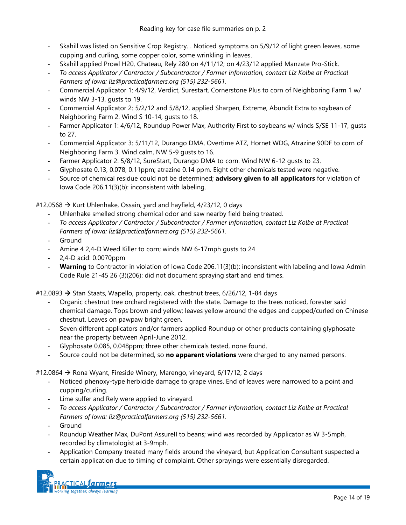- Skahill was listed on Sensitive Crop Registry. . Noticed symptoms on 5/9/12 of light green leaves, some cupping and curling, some copper color, some wrinkling in leaves.
- Skahill applied Prowl H20, Chateau, Rely 280 on 4/11/12; on 4/23/12 applied Manzate Pro-Stick.
- *To access Applicator / Contractor / Subcontractor / Farmer information, contact Liz Kolbe at Practical Farmers of Iowa: liz@practicalfarmers.org (515) 232-5661.*
- Commercial Applicator 1: 4/9/12, Verdict, Surestart, Cornerstone Plus to corn of Neighboring Farm 1 w/ winds NW 3-13, gusts to 19.
- Commercial Applicator 2: 5/2/12 and 5/8/12, applied Sharpen, Extreme, Abundit Extra to soybean of Neighboring Farm 2. Wind S 10-14, gusts to 18.
- Farmer Applicator 1: 4/6/12, Roundup Power Max, Authority First to soybeans w/ winds S/SE 11-17, qusts to 27.
- Commercial Applicator 3: 5/11/12, Durango DMA, Overtime ATZ, Hornet WDG, Atrazine 90DF to corn of Neighboring Farm 3. Wind calm, NW 5-9 gusts to 16.
- Farmer Applicator 2: 5/8/12, SureStart, Durango DMA to corn. Wind NW 6-12 gusts to 23.
- Glyphosate 0.13, 0.078, 0.11ppm; atrazine 0.14 ppm. Eight other chemicals tested were negative.
- Source of chemical residue could not be determined; **advisory given to all applicators** for violation of Iowa Code 206.11(3)(b): inconsistent with labeling.

#12.0568  $\rightarrow$  Kurt Uhlenhake, Ossain, yard and hayfield, 4/23/12, 0 days

- Uhlenhake smelled strong chemical odor and saw nearby field being treated.
- *To access Applicator / Contractor / Subcontractor / Farmer information, contact Liz Kolbe at Practical Farmers of Iowa: liz@practicalfarmers.org (515) 232-5661.*
- **Ground**
- Amine 4 2,4-D Weed Killer to corn; winds NW 6-17mph gusts to 24
- 2,4-D acid: 0.0070ppm
- **Warning** to Contractor in violation of Iowa Code 206.11(3)(b): inconsistent with labeling and Iowa Admin Code Rule 21-45 26 (3)(206): did not document spraying start and end times.

#12.0893 → Stan Staats, Wapello, property, oak, chestnut trees, 6/26/12, 1-84 days

- Organic chestnut tree orchard registered with the state. Damage to the trees noticed, forester said chemical damage. Tops brown and yellow; leaves yellow around the edges and cupped/curled on Chinese chestnut. Leaves on pawpaw bright green.
- Seven different applicators and/or farmers applied Roundup or other products containing glyphosate near the property between April-June 2012.
- Glyphosate 0.085, 0.048ppm; three other chemicals tested, none found.
- Source could not be determined, so **no apparent violations** were charged to any named persons.

#12.0864  $\rightarrow$  Rona Wyant, Fireside Winery, Marengo, vineyard, 6/17/12, 2 days

- Noticed phenoxy-type herbicide damage to grape vines. End of leaves were narrowed to a point and cupping/curling.
- Lime sulfer and Rely were applied to vineyard.
- *To access Applicator / Contractor / Subcontractor / Farmer information, contact Liz Kolbe at Practical Farmers of Iowa: liz@practicalfarmers.org (515) 232-5661.*
- **Ground**
- Roundup Weather Max, DuPont Assurell to beans; wind was recorded by Applicator as W 3-5mph, recorded by climatologist at 3-9mph.
- Application Company treated many fields around the vineyard, but Application Consultant suspected a certain application due to timing of complaint. Other sprayings were essentially disregarded.

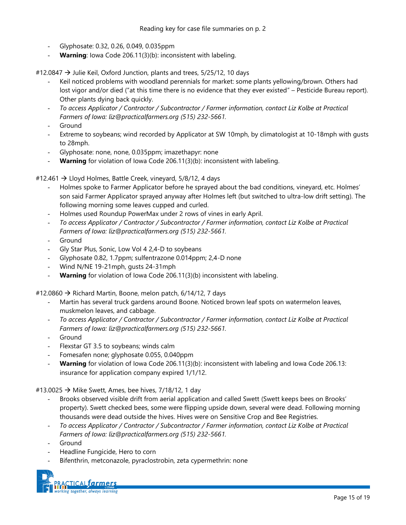- Glyphosate: 0.32, 0.26, 0.049, 0.035ppm
- Warning: Iowa Code 206.11(3)(b): inconsistent with labeling.

#12.0847  $\rightarrow$  Julie Keil, Oxford Junction, plants and trees, 5/25/12, 10 days

- Keil noticed problems with woodland perennials for market: some plants yellowing/brown. Others had lost vigor and/or died ("at this time there is no evidence that they ever existed" – Pesticide Bureau report). Other plants dying back quickly.
- *To access Applicator / Contractor / Subcontractor / Farmer information, contact Liz Kolbe at Practical Farmers of Iowa: liz@practicalfarmers.org (515) 232-5661.*
- **Ground**
- Extreme to soybeans; wind recorded by Applicator at SW 10mph, by climatologist at 10-18mph with gusts to 28mph.
- Glyphosate: none, none, 0.035ppm; imazethapyr: none
- **Warning** for violation of Iowa Code 206.11(3)(b): inconsistent with labeling.

#12.461 → Lloyd Holmes, Battle Creek, vineyard, 5/8/12, 4 days

- Holmes spoke to Farmer Applicator before he sprayed about the bad conditions, vineyard, etc. Holmes' son said Farmer Applicator sprayed anyway after Holmes left (but switched to ultra-low drift setting). The following morning some leaves cupped and curled.
- Holmes used Roundup PowerMax under 2 rows of vines in early April.
- *To access Applicator / Contractor / Subcontractor / Farmer information, contact Liz Kolbe at Practical Farmers of Iowa: liz@practicalfarmers.org (515) 232-5661.*
- **Ground**
- Gly Star Plus, Sonic, Low Vol 4 2,4-D to soybeans
- Glyphosate 0.82, 1.7ppm; sulfentrazone 0.014ppm; 2,4-D none
- Wind N/NE 19-21mph, gusts 24-31mph
- **Warning** for violation of Iowa Code 206.11(3)(b) inconsistent with labeling.

#12.0860  $\rightarrow$  Richard Martin, Boone, melon patch, 6/14/12, 7 days

- Martin has several truck gardens around Boone. Noticed brown leaf spots on watermelon leaves, muskmelon leaves, and cabbage.
- *To access Applicator / Contractor / Subcontractor / Farmer information, contact Liz Kolbe at Practical Farmers of Iowa: liz@practicalfarmers.org (515) 232-5661.*
- Ground
- Flexstar GT 3.5 to soybeans; winds calm
- Fomesafen none; glyphosate 0.055, 0.040ppm
- Warning for violation of Iowa Code 206.11(3)(b): inconsistent with labeling and Iowa Code 206.13: insurance for application company expired 1/1/12.

#13.0025  $\rightarrow$  Mike Swett, Ames, bee hives, 7/18/12, 1 day

- Brooks observed visible drift from aerial application and called Swett (Swett keeps bees on Brooks' property). Swett checked bees, some were flipping upside down, several were dead. Following morning thousands were dead outside the hives. Hives were on Sensitive Crop and Bee Registries.
- *To access Applicator / Contractor / Subcontractor / Farmer information, contact Liz Kolbe at Practical Farmers of Iowa: liz@practicalfarmers.org (515) 232-5661.*
- **Ground**
- Headline Fungicide, Hero to corn
- Bifenthrin, metconazole, pyraclostrobin, zeta cypermethrin: none

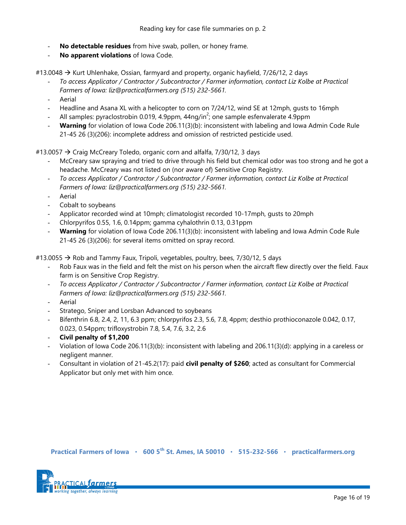- **No detectable residues** from hive swab, pollen, or honey frame.
- **No apparent violations** of Iowa Code.

#13.0048 → Kurt Uhlenhake, Ossian, farmyard and property, organic hayfield, 7/26/12, 2 days

- *To access Applicator / Contractor / Subcontractor / Farmer information, contact Liz Kolbe at Practical Farmers of Iowa: liz@practicalfarmers.org (515) 232-5661.*
- **Aerial**
- Headline and Asana XL with a helicopter to corn on 7/24/12, wind SE at 12mph, gusts to 16mph
- All samples: pyraclostrobin 0.019, 4.9ppm, 44ng/in<sup>2</sup>; one sample esfenvalerate 4.9ppm
- **Warning** for violation of Iowa Code 206.11(3)(b): inconsistent with labeling and Iowa Admin Code Rule 21-45 26 (3)(206): incomplete address and omission of restricted pesticide used.

#13.0057  $\rightarrow$  Craig McCreary Toledo, organic corn and alfalfa, 7/30/12, 3 days

- McCreary saw spraying and tried to drive through his field but chemical odor was too strong and he got a headache. McCreary was not listed on (nor aware of) Sensitive Crop Registry.
- *To access Applicator / Contractor / Subcontractor / Farmer information, contact Liz Kolbe at Practical Farmers of Iowa: liz@practicalfarmers.org (515) 232-5661.*
- **Aerial**
- Cobalt to soybeans
- Applicator recorded wind at 10mph; climatologist recorded 10-17mph, gusts to 20mph
- Chlorpyrifos 0.55, 1.6, 0.14ppm; gamma cyhalothrin 0.13, 0.31ppm
- **Warning** for violation of Iowa Code 206.11(3)(b): inconsistent with labeling and Iowa Admin Code Rule 21-45 26 (3)(206): for several items omitted on spray record.

#13.0055  $\rightarrow$  Rob and Tammy Faux, Tripoli, vegetables, poultry, bees, 7/30/12, 5 days

- Rob Faux was in the field and felt the mist on his person when the aircraft flew directly over the field. Faux farm is on Sensitive Crop Registry.
- *To access Applicator / Contractor / Subcontractor / Farmer information, contact Liz Kolbe at Practical Farmers of Iowa: liz@practicalfarmers.org (515) 232-5661.*
- **Aerial**
- Stratego, Sniper and Lorsban Advanced to soybeans
- Bifenthrin 6.8, 2.4, 2, 11, 6.3 ppm; chlorpyrifos 2.3, 5.6, 7.8, 4ppm; desthio prothioconazole 0.042, 0.17, 0.023, 0.54ppm; trifloxystrobin 7.8, 5.4, 7.6, 3.2, 2.6
- **Civil penalty of \$1,200**
- Violation of Iowa Code 206.11(3)(b): inconsistent with labeling and 206.11(3)(d): applying in a careless or negligent manner.
- Consultant in violation of 21-45.2(17): paid **civil penalty of \$260**; acted as consultant for Commercial Applicator but only met with him once.

**Practical Farmers of Iowa** ٠ **600 5th St. Ames, IA 50010** ٠ **515-232-566** ٠ **practicalfarmers.org**

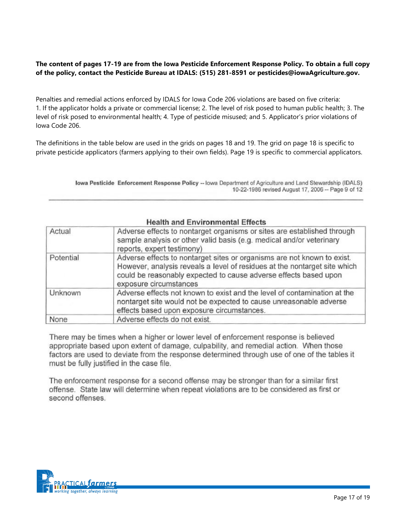# **The content of pages 17-19 are from the Iowa Pesticide Enforcement Response Policy. To obtain a full copy of the policy, contact the Pesticide Bureau at IDALS: (515) 281-8591 or pesticides@iowaAgriculture.gov.**

Penalties and remedial actions enforced by IDALS for Iowa Code 206 violations are based on five criteria: 1. If the applicator holds a private or commercial license; 2. The level of risk posed to human public health; 3. The level of risk posed to environmental health; 4. Type of pesticide misused; and 5. Applicator's prior violations of Iowa Code 206.

The definitions in the table below are used in the grids on pages 18 and 19. The grid on page 18 is specific to private pesticide applicators (farmers applying to their own fields). Page 19 is specific to commercial applicators.

> Iowa Pesticide Enforcement Response Policy -- Iowa Department of Agriculture and Land Stewardship (IDALS) 10-22-1986 revised August 17, 2006 - Page 9 of 12

|  | <b>Health and Environmental Effects</b> |
|--|-----------------------------------------|
|--|-----------------------------------------|

| Actual    | Adverse effects to nontarget organisms or sites are established through<br>sample analysis or other valid basis (e.g. medical and/or veterinary<br>reports, expert testimony)                                                                      |
|-----------|----------------------------------------------------------------------------------------------------------------------------------------------------------------------------------------------------------------------------------------------------|
| Potential | Adverse effects to nontarget sites or organisms are not known to exist.<br>However, analysis reveals a level of residues at the nontarget site which<br>could be reasonably expected to cause adverse effects based upon<br>exposure circumstances |
| Unknown   | Adverse effects not known to exist and the level of contamination at the<br>nontarget site would not be expected to cause unreasonable adverse<br>effects based upon exposure circumstances.                                                       |
| None      | Adverse effects do not exist.                                                                                                                                                                                                                      |

There may be times when a higher or lower level of enforcement response is believed appropriate based upon extent of damage, culpability, and remedial action. When those factors are used to deviate from the response determined through use of one of the tables it must be fully justified in the case file.

The enforcement response for a second offense may be stronger than for a similar first offense. State law will determine when repeat violations are to be considered as first or second offenses.

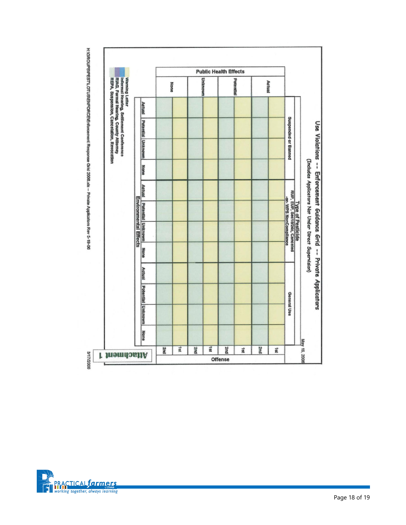

H:\GROUPS\PESTLOTUS\ENFORCE\Enforcement Response Grid 2006.xls -- Private Applicators Rev 5-19-06